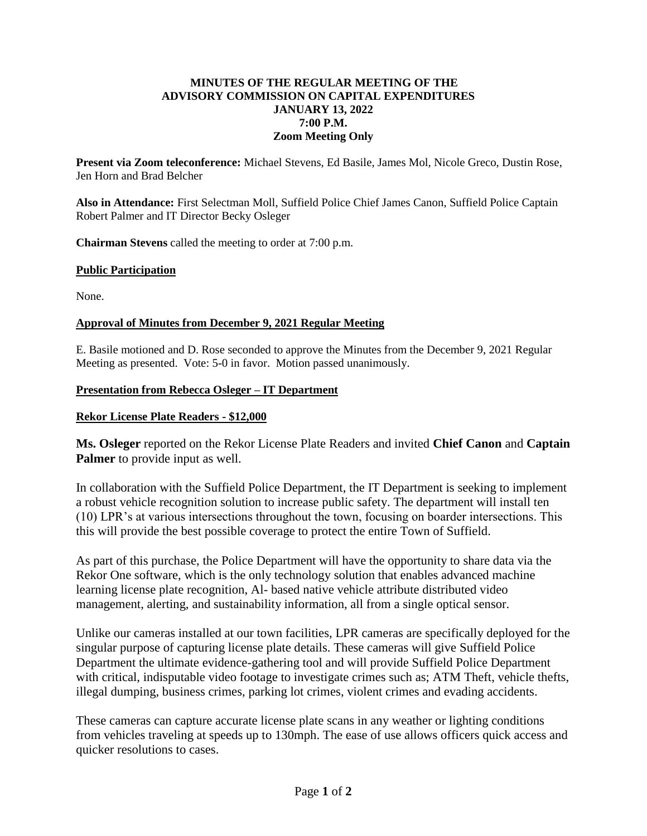# **MINUTES OF THE REGULAR MEETING OF THE ADVISORY COMMISSION ON CAPITAL EXPENDITURES JANUARY 13, 2022 7:00 P.M. Zoom Meeting Only**

**Present via Zoom teleconference:** Michael Stevens, Ed Basile, James Mol, Nicole Greco, Dustin Rose, Jen Horn and Brad Belcher

**Also in Attendance:** First Selectman Moll, Suffield Police Chief James Canon, Suffield Police Captain Robert Palmer and IT Director Becky Osleger

**Chairman Stevens** called the meeting to order at 7:00 p.m.

# **Public Participation**

None.

# **Approval of Minutes from December 9, 2021 Regular Meeting**

E. Basile motioned and D. Rose seconded to approve the Minutes from the December 9, 2021 Regular Meeting as presented. Vote: 5-0 in favor. Motion passed unanimously.

### **Presentation from Rebecca Osleger – IT Department**

### **Rekor License Plate Readers - \$12,000**

**Ms. Osleger** reported on the Rekor License Plate Readers and invited **Chief Canon** and **Captain Palmer** to provide input as well.

In collaboration with the Suffield Police Department, the IT Department is seeking to implement a robust vehicle recognition solution to increase public safety. The department will install ten (10) LPR's at various intersections throughout the town, focusing on boarder intersections. This this will provide the best possible coverage to protect the entire Town of Suffield.

As part of this purchase, the Police Department will have the opportunity to share data via the Rekor One software, which is the only technology solution that enables advanced machine learning license plate recognition, Al- based native vehicle attribute distributed video management, alerting, and sustainability information, all from a single optical sensor.

Unlike our cameras installed at our town facilities, LPR cameras are specifically deployed for the singular purpose of capturing license plate details. These cameras will give Suffield Police Department the ultimate evidence-gathering tool and will provide Suffield Police Department with critical, indisputable video footage to investigate crimes such as; ATM Theft, vehicle thefts, illegal dumping, business crimes, parking lot crimes, violent crimes and evading accidents.

These cameras can capture accurate license plate scans in any weather or lighting conditions from vehicles traveling at speeds up to 130mph. The ease of use allows officers quick access and quicker resolutions to cases.